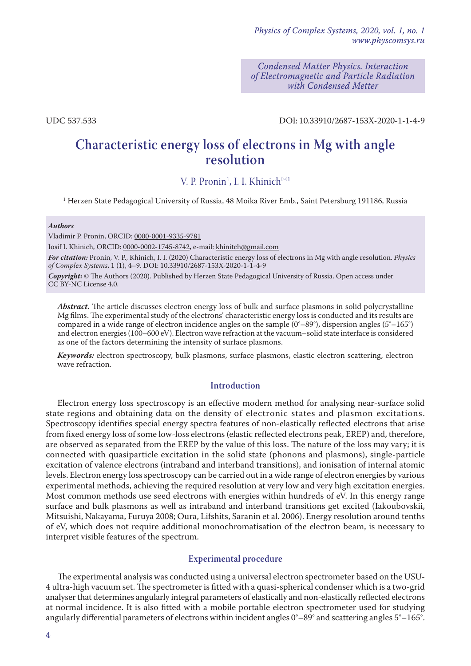*Condensed Matter Physics. Interaction of Electromagnetic and Particle Radiation with Condensed Metter*

UDC 537.533 DOI: 10.33910/2687-153X-2020-1-1-4-9

# **Characteristic energy loss of electrons in Mg with angle resolution**

V. P. Pronin<sup>1</sup>, I. I. Khinich<sup> $\boxtimes$ 1</sup>

1 Herzen State Pedagogical University of Russia, 48 Moika River Emb., Saint Petersburg 191186, Russia

#### *Authors*

Vladimir P. Pronin, ORCID: [0000-0001-9335-9781](https://orcid.org/0000-0001-9335-9781)

Iosif I. Khinich, ORCID: [0000-0002-1745-8742](https://orcid.org/0000-0002-1745-8742), e-mail: [khinitch@gmail.com](mailto:khinitch@gmail.com)

*For citation:* Pronin, V. P., Khinich, I. I. (2020) Characteristic energy loss of electrons in Mg with angle resolution. *Physics of Complex Systems*, 1 (1), 4–9. DOI: 10.33910/2687-153X-2020-1-1-4-9

*Copyright:* © The Authors (2020). Published by Herzen State Pedagogical University of Russia. Open access under [CC BY-NC License 4.0.](https://creativecommons.org/licenses/by-nc/4.0/)

*Abstract.* The article discusses electron energy loss of bulk and surface plasmons in solid polycrystalline Mg films. The experimental study of the electrons' characteristic energy loss is conducted and its results are compared in a wide range of electron incidence angles on the sample  $(0^{\circ}-89^{\circ})$ , dispersion angles  $(5^{\circ}-165^{\circ})$ and electron energies (100–600 eV). Electron wave refraction at the vacuum–solid state interface is considered as one of the factors determining the intensity of surface plasmons.

*Keywords:* electron spectroscopy, bulk plasmons, surface plasmons, elastic electron scattering, electron wave refraction.

## **Introduction**

Electron energy loss spectroscopy is an effective modern method for analysing near-surface solid state regions and obtaining data on the density of electronic states and plasmon excitations. Spectroscopy identifies special energy spectra features of non-elastically reflected electrons that arise from fixed energy loss of some low-loss electrons (elastic reflected electrons peak, EREP) and, therefore, are observed as separated from the EREP by the value of this loss. The nature of the loss may vary; it is connected with quasiparticle excitation in the solid state (phonons and plasmons), single-particle excitation of valence electrons (intraband and interband transitions), and ionisation of internal atomic levels. Electron energy loss spectroscopy can be carried out in a wide range of electron energies by various experimental methods, achieving the required resolution at very low and very high excitation energies. Most common methods use seed electrons with energies within hundreds of eV. In this energy range surface and bulk plasmons as well as intraband and interband transitions get excited (Iakoubovskii, Mitsuishi, Nakayama, Furuya 2008; Oura, Lifshits, Saranin et al. 2006). Energy resolution around tenths of eV, which does not require additional monochromatisation of the electron beam, is necessary to interpret visible features of the spectrum.

## **Experimental procedure**

The experimental analysis was conducted using a universal electron spectrometer based on the USU-4 ultra-high vacuum set. The spectrometer is fitted with a quasi-spherical condenser which is a two-grid analyser that determines angularly integral parameters of elastically and non-elastically reflected electrons at normal incidence. It is also fitted with a mobile portable electron spectrometer used for studying angularly differential parameters of electrons within incident angles 0°–89° and scattering angles 5°–165°.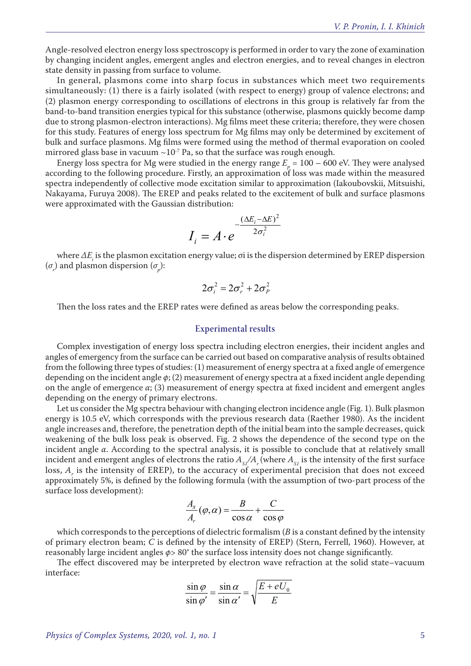Angle-resolved electron energy loss spectroscopy is performed in order to vary the zone of examination by changing incident angles, emergent angles and electron energies, and to reveal changes in electron state density in passing from surface to volume.

In general, plasmons come into sharp focus in substances which meet two requirements simultaneously: (1) there is a fairly isolated (with respect to energy) group of valence electrons; and (2) plasmon energy corresponding to oscillations of electrons in this group is relatively far from the band-to-band transition energies typical for this substance (otherwise, plasmons quickly become damp due to strong plasmon-electron interactions). Mg films meet these criteria; therefore, they were chosen for this study. Features of energy loss spectrum for Mg films may only be determined by excitement of bulk and surface plasmons. Mg films were formed using the method of thermal evaporation on cooled mirrored glass base in vacuum  $\sim 10^{-7}$  Pa, so that the surface was rough enough.

Energy loss spectra for Mg were studied in the energy range  $E_p = 100 - 600$  eV. They were analysed according to the following procedure. Firstly, an approximation of loss was made within the measured spectra independently of collective mode excitation similar to approximation (Iakoubovskii, Mitsuishi, Nakayama, Furuya 2008). The EREP and peaks related to the excitement of bulk and surface plasmons were approximated with the Gaussian distribution:

$$
I_i = A \cdot e^{-\frac{(\Delta E_i - \Delta E)^2}{2\sigma_i^2}}
$$

where *∆Еi* is the plasmon excitation energy value; σi is the dispersion determined by EREP dispersion  $(\sigma_{\nu})$  and plasmon dispersion  $(\sigma_{\nu})$ :

$$
2\sigma_i^2 = 2\sigma_r^2 + 2\sigma_F^2
$$

Then the loss rates and the EREP rates were defined as areas below the corresponding peaks.

#### **Experimental results**

Complex investigation of energy loss spectra including electron energies, their incident angles and angles of emergency from the surface can be carried out based on comparative analysis of results obtained from the following three types of studies: (1) measurement of energy spectra at a fixed angle of emergence depending on the incident angle *φ*; (2) measurement of energy spectra at a fixed incident angle depending on the angle of emergence *α*; (3) measurement of energy spectra at fixed incident and emergent angles depending on the energy of primary electrons.

Let us consider the Mg spectra behaviour with changing electron incidence angle (Fig. 1). Bulk plasmon energy is 10.5 eV, which corresponds with the previous research data (Raether 1980). As the incident angle increases and, therefore, the penetration depth of the initial beam into the sample decreases, quick weakening of the bulk loss peak is observed. Fig. 2 shows the dependence of the second type on the incident angle *α*. According to the spectral analysis, it is possible to conclude that at relatively small incident and emergent angles of electrons the ratio  $A_{s}/A_r$  (where  $A_{s}$  is the intensity of the first surface loss,  $A<sub>r</sub>$  is the intensity of EREP), to the accuracy of experimental precision that does not exceed approximately 5%, is defined by the following formula (with the assumption of two-part process of the surface loss development):

$$
\frac{A_s}{A_r}(\varphi,\alpha) = \frac{B}{\cos\alpha} + \frac{C}{\cos\varphi}
$$

which corresponds to the perceptions of dielectric formalism (*B* is a constant defined by the intensity of primary electron beam; *C* is defined by the intensity of EREP) (Stern, Ferrell, 1960). However, at reasonably large incident angles *φ*> 80° the surface loss intensity does not change significantly.

The effect discovered may be interpreted by electron wave refraction at the solid state–vacuum interface:

$$
\frac{\sin \varphi}{\sin \varphi'} = \frac{\sin \alpha}{\sin \alpha'} = \sqrt{\frac{E + eU_0}{E}}
$$

*Physics of Complex Systems, 2020, vol. 1, no. 1* 5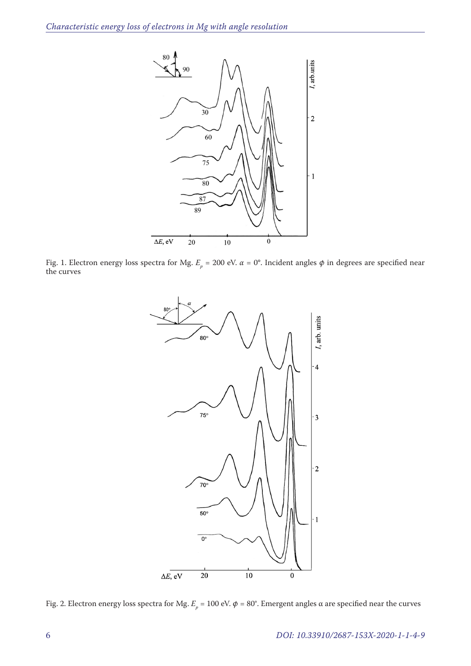

Fig. 1. Electron energy loss spectra for Mg.  $E_p$  = 200 eV.  $\alpha$  = 0°. Incident angles φ in degrees are specified near<br>· the curves



Fig. 2. Electron energy loss spectra for Mg.  $E_p$  = 100 eV.  $\phi$  = 80°. Emergent angles α are specified near the curves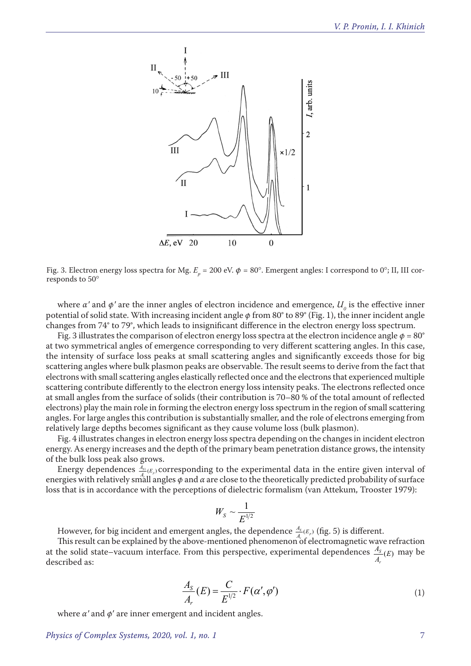

Fig. 3. Electron energy loss spectra for Mg.  $E_p = 200$  eV.  $\phi = 80^\circ$ . Emergent angles: I correspond to 0°; II, III corresponds to 50°

where  $\alpha'$  and  $\phi'$  are the inner angles of electron incidence and emergence,  $U_o$  is the effective inner potential of solid state. With increasing incident angle *φ* from 80° to 89° (Fig. 1), the inner incident angle changes from 74° to 79°, which leads to insignificant difference in the electron energy loss spectrum.

Fig. 3 illustrates the comparison of electron energy loss spectra at the electron incidence angle  $\phi = 80^\circ$ at two symmetrical angles of emergence corresponding to very different scattering angles. In this case, the intensity of surface loss peaks at small scattering angles and significantly exceeds those for big scattering angles where bulk plasmon peaks are observable. The result seems to derive from the fact that electrons with small scattering angles elastically reflected once and the electrons that experienced multiple scattering contribute differently to the electron energy loss intensity peaks. The electrons reflected once at small angles from the surface of solids (their contribution is 70–80 % of the total amount of reflected electrons) play the main role in forming the electron energy loss spectrum in the region of small scattering angles. For large angles this contribution is substantially smaller, and the role of electrons emerging from relatively large depths becomes significant as they cause volume loss (bulk plasmon).

Fig. 4 illustrates changes in electron energy loss spectra depending on the changes in incident electron energy. As energy increases and the depth of the primary beam penetration distance grows, the intensity of the bulk loss peak also grows.

Energy dependences  $\frac{A_{s_1}}{A_{s_1}}(E_p)$  corresponding to the experimental data in the entire given interval of energies with relatively small angles  $\phi$  and  $\alpha$  are close to the theoretically predicted probability of surface loss that is in accordance with the perceptions of dielectric formalism (van Attekum, Trooster 1979):

$$
W_S \sim \frac{1}{E^{1/2}}
$$

However, for big incident and emergent angles, the dependence  $\frac{A_s}{A}(E_p)$  (fig. 5) is different.

This result can be explained by the above-mentioned phenomenon of electromagnetic wave refraction at the solid state–vacuum interface. From this perspective, experimental dependences  $\frac{A_s}{A_r}(E)$  *A r*  $\frac{S}{I}(E)$  may be described as:

$$
\frac{A_S}{A_r}(E) = \frac{C}{E^{1/2}} \cdot F(\alpha', \varphi')
$$
\n(1)

where  $\alpha'$  and  $\phi'$  are inner emergent and incident angles.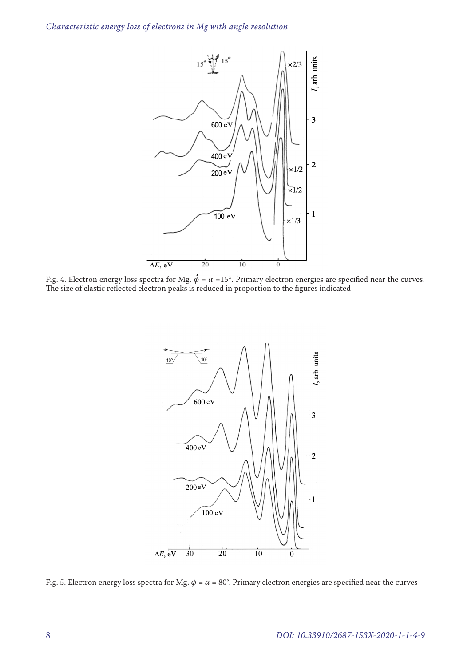

Fig. 4. Electron energy loss spectra for Mg.  $\phi = \alpha = 15^{\circ}$ . Primary electron energies are specified near the curves. The size of elastic reflected electron peaks is reduced in proportion to the figures indicated



Fig. 5. Electron energy loss spectra for Mg.  $\phi = \alpha = 80^\circ$ . Primary electron energies are specified near the curves